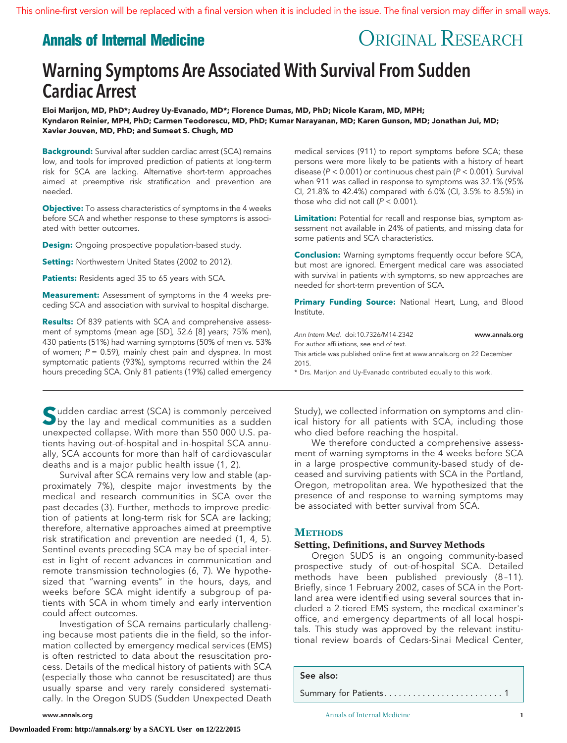# **Annals of Internal Medicine CRIGINAL RESEARCH**

# Warning Symptoms Are Associated With Survival From Sudden Cardiac Arrest

**Eloi Marijon, MD, PhD\*; Audrey Uy-Evanado, MD\*; Florence Dumas, MD, PhD; Nicole Karam, MD, MPH; Kyndaron Reinier, MPH, PhD; Carmen Teodorescu, MD, PhD; Kumar Narayanan, MD; Karen Gunson, MD; Jonathan Jui, MD; Xavier Jouven, MD, PhD; and Sumeet S. Chugh, MD**

**Background:** Survival after sudden cardiac arrest (SCA) remains low, and tools for improved prediction of patients at long-term risk for SCA are lacking. Alternative short-term approaches aimed at preemptive risk stratification and prevention are needed.

**Objective:** To assess characteristics of symptoms in the 4 weeks before SCA and whether response to these symptoms is associated with better outcomes.

**Design:** Ongoing prospective population-based study.

**Setting:** Northwestern United States (2002 to 2012).

**Patients:** Residents aged 35 to 65 years with SCA.

**Measurement:** Assessment of symptoms in the 4 weeks preceding SCA and association with survival to hospital discharge.

**Results:** Of 839 patients with SCA and comprehensive assessment of symptoms (mean age [SD], 52.6 [8] years; 75% men), 430 patients (51%) had warning symptoms (50% of men vs. 53% of women;  $P = 0.59$ ), mainly chest pain and dyspnea. In most symptomatic patients (93%), symptoms recurred within the 24 hours preceding SCA. Only 81 patients (19%) called emergency

Sudden cardiac arrest (SCA) is commonly perceived<br>
by the lay and medical communities as a sudden unexpected collapse. With more than 550 000 U.S. patients having out-of-hospital and in-hospital SCA annually, SCA accounts for more than half of cardiovascular deaths and is a major public health issue (1, 2).

Survival after SCA remains very low and stable (approximately 7%), despite major investments by the medical and research communities in SCA over the past decades (3). Further, methods to improve prediction of patients at long-term risk for SCA are lacking; therefore, alternative approaches aimed at preemptive risk stratification and prevention are needed (1, 4, 5). Sentinel events preceding SCA may be of special interest in light of recent advances in communication and remote transmission technologies (6, 7). We hypothesized that "warning events" in the hours, days, and weeks before SCA might identify a subgroup of patients with SCA in whom timely and early intervention could affect outcomes.

Investigation of SCA remains particularly challenging because most patients die in the field, so the information collected by emergency medical services (EMS) is often restricted to data about the resuscitation process. Details of the medical history of patients with SCA (especially those who cannot be resuscitated) are thus usually sparse and very rarely considered systematically. In the Oregon SUDS (Sudden Unexpected Death

**Downloaded From: http://annals.org/ by a SACYL User on 12/22/2015**

www.annals.org Annals of Internal Medicine **1**

medical services (911) to report symptoms before SCA; these persons were more likely to be patients with a history of heart disease ( $P < 0.001$ ) or continuous chest pain ( $P < 0.001$ ). Survival when 911 was called in response to symptoms was 32.1% (95% CI, 21.8% to 42.4%) compared with 6.0% (CI, 3.5% to 8.5%) in those who did not call ( $P < 0.001$ ).

**Limitation:** Potential for recall and response bias, symptom assessment not available in 24% of patients, and missing data for some patients and SCA characteristics.

**Conclusion:** Warning symptoms frequently occur before SCA, but most are ignored. Emergent medical care was associated with survival in patients with symptoms, so new approaches are needed for short-term prevention of SCA.

**Primary Funding Source:** National Heart, Lung, and Blood Institute.

| Ann Intern Med. doi:10.7326/M14-2342                                     | www.annals.org |
|--------------------------------------------------------------------------|----------------|
| For author affiliations, see end of text.                                |                |
| This article was published online first at www.annals.org on 22 December |                |
| 2015.                                                                    |                |
|                                                                          |                |

\* Drs. Marijon and Uy-Evanado contributed equally to this work.

Study), we collected information on symptoms and clinical history for all patients with SCA, including those who died before reaching the hospital.

We therefore conducted a comprehensive assessment of warning symptoms in the 4 weeks before SCA in a large prospective community-based study of deceased and surviving patients with SCA in the Portland, Oregon, metropolitan area. We hypothesized that the presence of and response to warning symptoms may be associated with better survival from SCA.

### **METHODS**

### **Setting, Definitions, and Survey Methods**

Oregon SUDS is an ongoing community-based prospective study of out-of-hospital SCA. Detailed methods have been published previously (8-11). Briefly, since 1 February 2002, cases of SCA in the Portland area were identified using several sources that included a 2-tiered EMS system, the medical examiner's office, and emergency departments of all local hospitals. This study was approved by the relevant institutional review boards of Cedars-Sinai Medical Center,

See also:

Summary for Patients...............................1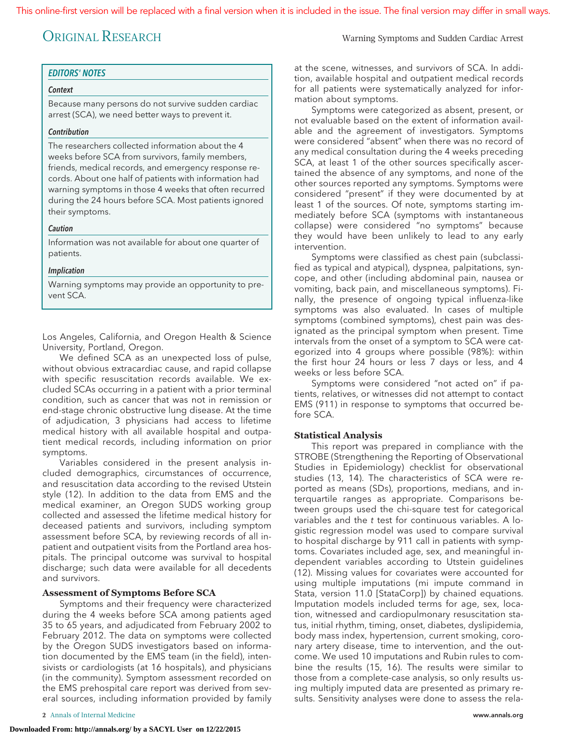This online-first version will be replaced with a final version when it is included in the issue. The final version may differ in small ways.

ORIGINAL RESEARCH Warning Symptoms and Sudden Cardiac Arrest

### EDITORS' NOTES

### **Context**

Because many persons do not survive sudden cardiac arrest (SCA), we need better ways to prevent it.

### **Contribution**

The researchers collected information about the 4 weeks before SCA from survivors, family members, friends, medical records, and emergency response records. About one half of patients with information had warning symptoms in those 4 weeks that often recurred during the 24 hours before SCA. Most patients ignored their symptoms.

### **Caution**

Information was not available for about one quarter of patients.

### Implication

Warning symptoms may provide an opportunity to prevent SCA.

Los Angeles, California, and Oregon Health & Science University, Portland, Oregon.

We defined SCA as an unexpected loss of pulse, without obvious extracardiac cause, and rapid collapse with specific resuscitation records available. We excluded SCAs occurring in a patient with a prior terminal condition, such as cancer that was not in remission or end-stage chronic obstructive lung disease. At the time of adjudication, 3 physicians had access to lifetime medical history with all available hospital and outpatient medical records, including information on prior symptoms.

Variables considered in the present analysis included demographics, circumstances of occurrence, and resuscitation data according to the revised Utstein style (12). In addition to the data from EMS and the medical examiner, an Oregon SUDS working group collected and assessed the lifetime medical history for deceased patients and survivors, including symptom assessment before SCA, by reviewing records of all inpatient and outpatient visits from the Portland area hospitals. The principal outcome was survival to hospital discharge; such data were available for all decedents and survivors.

### **Assessment of Symptoms Before SCA**

Symptoms and their frequency were characterized during the 4 weeks before SCA among patients aged 35 to 65 years, and adjudicated from February 2002 to February 2012. The data on symptoms were collected by the Oregon SUDS investigators based on information documented by the EMS team (in the field), intensivists or cardiologists (at 16 hospitals), and physicians (in the community). Symptom assessment recorded on the EMS prehospital care report was derived from several sources, including information provided by family

at the scene, witnesses, and survivors of SCA. In addition, available hospital and outpatient medical records for all patients were systematically analyzed for information about symptoms.

Symptoms were categorized as absent, present, or not evaluable based on the extent of information available and the agreement of investigators. Symptoms were considered "absent" when there was no record of any medical consultation during the 4 weeks preceding SCA, at least 1 of the other sources specifically ascertained the absence of any symptoms, and none of the other sources reported any symptoms. Symptoms were considered "present" if they were documented by at least 1 of the sources. Of note, symptoms starting immediately before SCA (symptoms with instantaneous collapse) were considered "no symptoms" because they would have been unlikely to lead to any early intervention.

Symptoms were classified as chest pain (subclassified as typical and atypical), dyspnea, palpitations, syncope, and other (including abdominal pain, nausea or vomiting, back pain, and miscellaneous symptoms). Finally, the presence of ongoing typical influenza-like symptoms was also evaluated. In cases of multiple symptoms (combined symptoms), chest pain was designated as the principal symptom when present. Time intervals from the onset of a symptom to SCA were categorized into 4 groups where possible (98%): within the first hour 24 hours or less 7 days or less, and 4 weeks or less before SCA.

Symptoms were considered "not acted on" if patients, relatives, or witnesses did not attempt to contact EMS (911) in response to symptoms that occurred before SCA.

### **Statistical Analysis**

This report was prepared in compliance with the STROBE (Strengthening the Reporting of Observational Studies in Epidemiology) checklist for observational studies (13, 14). The characteristics of SCA were reported as means (SDs), proportions, medians, and interquartile ranges as appropriate. Comparisons between groups used the chi-square test for categorical variables and the t test for continuous variables. A logistic regression model was used to compare survival to hospital discharge by 911 call in patients with symptoms. Covariates included age, sex, and meaningful independent variables according to Utstein guidelines (12). Missing values for covariates were accounted for using multiple imputations (mi impute command in Stata, version 11.0 [StataCorp]) by chained equations. Imputation models included terms for age, sex, location, witnessed and cardiopulmonary resuscitation status, initial rhythm, timing, onset, diabetes, dyslipidemia, body mass index, hypertension, current smoking, coronary artery disease, time to intervention, and the outcome. We used 10 imputations and Rubin rules to combine the results (15, 16). The results were similar to those from a complete-case analysis, so only results using multiply imputed data are presented as primary results. Sensitivity analyses were done to assess the rela-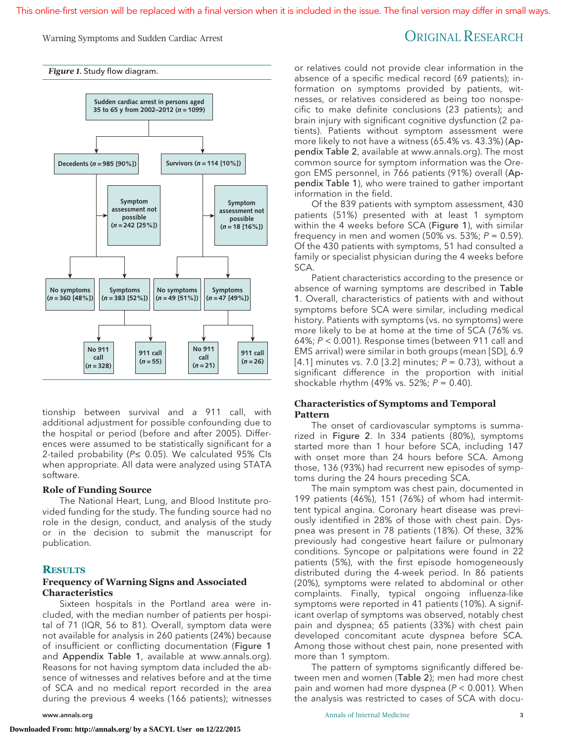## Warning Symptoms and Sudden Cardiac Arrest **ORIGINAL RESEARCH**



tionship between survival and a 911 call, with additional adjustment for possible confounding due to the hospital or period (before and after 2005). Differences were assumed to be statistically significant for a 2-tailed probability ( $P \le 0.05$ ). We calculated 95% CIs when appropriate. All data were analyzed using STATA software.

### **Role of Funding Source**

The National Heart, Lung, and Blood Institute provided funding for the study. The funding source had no role in the design, conduct, and analysis of the study or in the decision to submit the manuscript for publication.

### **RESULTS**

### **Frequency of Warning Signs and Associated Characteristics**

**Downloaded From: http://annals.org/ by a SACYL User on 12/22/2015**

Sixteen hospitals in the Portland area were included, with the median number of patients per hospital of 71 (IQR, 56 to 81). Overall, symptom data were not available for analysis in 260 patients (24%) because of insufficient or conflicting documentation (Figure 1 and Appendix Table 1, available at [www.annals.org\)](http://www.annals.org). Reasons for not having symptom data included the absence of witnesses and relatives before and at the time of SCA and no medical report recorded in the area during the previous 4 weeks (166 patients); witnesses

www.annals.org Annals of Internal Medicine **3**

or relatives could not provide clear information in the absence of a specific medical record (69 patients); information on symptoms provided by patients, witnesses, or relatives considered as being too nonspecific to make definite conclusions (23 patients); and brain injury with significant cognitive dysfunction (2 patients). Patients without symptom assessment were more likely to not have a witness (65.4% vs. 43.3%) (Appendix Table 2, available at [www.annals.org\)](http://www.annals.org). The most common source for symptom information was the Oregon EMS personnel, in 766 patients (91%) overall (Appendix Table 1), who were trained to gather important information in the field.

Of the 839 patients with symptom assessment, 430 patients (51%) presented with at least 1 symptom within the 4 weeks before SCA (Figure 1), with similar frequency in men and women (50% vs. 53%;  $P = 0.59$ ). Of the 430 patients with symptoms, 51 had consulted a family or specialist physician during the 4 weeks before SCA.

Patient characteristics according to the presence or absence of warning symptoms are described in Table 1. Overall, characteristics of patients with and without symptoms before SCA were similar, including medical history. Patients with symptoms (vs. no symptoms) were more likely to be at home at the time of SCA (76% vs. 64%; P < 0.001). Response times (between 911 call and EMS arrival) were similar in both groups (mean [SD], 6.9 [4.1] minutes vs. 7.0 [3.2] minutes;  $P = 0.73$ ), without a significant difference in the proportion with initial shockable rhythm (49% vs. 52%;  $P = 0.40$ ).

### **Characteristics of Symptoms and Temporal Pattern**

The onset of cardiovascular symptoms is summarized in Figure 2. In 334 patients (80%), symptoms started more than 1 hour before SCA, including 147 with onset more than 24 hours before SCA. Among those, 136 (93%) had recurrent new episodes of symptoms during the 24 hours preceding SCA.

The main symptom was chest pain, documented in 199 patients (46%), 151 (76%) of whom had intermittent typical angina. Coronary heart disease was previously identified in 28% of those with chest pain. Dyspnea was present in 78 patients (18%). Of these, 32% previously had congestive heart failure or pulmonary conditions. Syncope or palpitations were found in 22 patients (5%), with the first episode homogeneously distributed during the 4-week period. In 86 patients (20%), symptoms were related to abdominal or other complaints. Finally, typical ongoing influenza-like symptoms were reported in 41 patients (10%). A significant overlap of symptoms was observed, notably chest pain and dyspnea; 65 patients (33%) with chest pain developed concomitant acute dyspnea before SCA. Among those without chest pain, none presented with more than 1 symptom.

The pattern of symptoms significantly differed between men and women (Table 2); men had more chest pain and women had more dyspnea ( $P < 0.001$ ). When the analysis was restricted to cases of SCA with docu-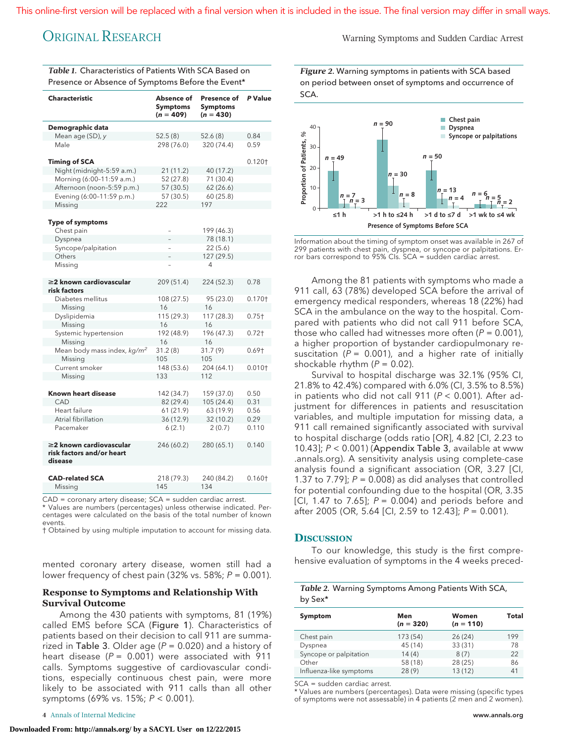## ORIGINAL RESEARCH Warning Symptoms and Sudden Cardiac Arrest

*Table 1.* Characteristics of Patients With SCA Based on Presence or Absence of Symptoms Before the Event\*

**Characteristic Absence of Symptoms (***n* - **409) Presence of Symptoms (***n* - **430)** *P* **Value Demographic data** Mean age (SD), y 52.5 (8) 52.6 (8) 0.84 Male 298 (76.0) 320 (74.4) 0.59 **Timing of SCA** 0.120†<br>Night (midnight-5:59 a.m.) 21 (11.2) 40 (17.2) 0.120† Night (midnight-5:59 a.m.) 21 (11.2)<br>Morning (6:00-11:59 a.m.) 52 (27.8) Morning (6:00-11:59 a.m.) 52 (27.8) 71 (30.4)<br>Afternoon (noon-5:59 p.m.) 57 (30.5) 62 (26.6) Afternoon (noon-5:59 p.m.) 57 (30.5)<br>Evening (6:00-11:59 p.m.) 57 (30.5) Evening (6:00-11:59 p.m.) 57 (30.5) 60 (25.8)<br>Missing 222 197 Missing 222 197 **Type of symptoms** Chest pain – 199 (46.3) Dyspnea – 78 (18.1) Syncope/palpitation Others – 127 (29.5)<br>Missing – 4 Missing >**2 known cardiovascular risk factors** 209 (51.4) 224 (52.3) 0.78 Diabetes mellitus 108 (27.5) 95 (23.0) 0.170† Missing Dyslipidemia 115 (29.3) 117 (28.3) 0.75† Missing 16 16 Systemic hypertension 192 (48.9) 196 (47.3) 0.72† Missing 16 16 Mean body mass index,  $kg/m^2$  31.2 (8) 31.7 (9) 0.69† Missing 105 105 Current smoker 148 (53.6) 204 (64.1) 0.010† Missing 133 112 **Known heart disease** 142 (34.7) 159 (37.0) 0.50 CAD 82 (29.4) 105 (24.4) 0.31 Heart failure 61 (21.9) 63 (19.9) 6.56<br>Atrial fibrillation 63 (12.9) 629 (10.2) 6.29 Atrial fibrillation Pacemaker 6 (2.1) 2 (0.7) 0.110 >**2 known cardiovascular risk factors and/or heart disease** 246 (60.2) 280 (65.1) 0.140 **CAD–related SCA** 218 (79.3) 240 (84.2) 0.160† Missing 145 134

CAD = coronary artery disease; SCA = sudden cardiac arrest. \* Values are numbers (percentages) unless otherwise indicated. Percentages were calculated on the basis of the total number of known events.

† Obtained by using multiple imputation to account for missing data.

mented coronary artery disease, women still had a lower frequency of chest pain (32% vs. 58%;  $P = 0.001$ ).

### **Response to Symptoms and Relationship With Survival Outcome**

Among the 430 patients with symptoms, 81 (19%) called EMS before SCA (Figure 1). Characteristics of patients based on their decision to call 911 are summarized in Table 3. Older age ( $P = 0.020$ ) and a history of heart disease ( $P = 0.001$ ) were associated with 911 calls. Symptoms suggestive of cardiovascular conditions, especially continuous chest pain, were more likely to be associated with 911 calls than all other symptoms (69% vs. 15%; P < 0.001).

*Figure 2.* Warning symptoms in patients with SCA based

on period between onset of symptoms and occurrence of





Among the 81 patients with symptoms who made a 911 call, 63 (78%) developed SCA before the arrival of emergency medical responders, whereas 18 (22%) had SCA in the ambulance on the way to the hospital. Compared with patients who did not call 911 before SCA, those who called had witnesses more often ( $P = 0.001$ ), a higher proportion of bystander cardiopulmonary resuscitation ( $P = 0.001$ ), and a higher rate of initially shockable rhythm  $(P = 0.02)$ .

Survival to hospital discharge was 32.1% (95% CI, 21.8% to 42.4%) compared with 6.0% (CI, 3.5% to 8.5%) in patients who did not call 911 ( $P < 0.001$ ). After adjustment for differences in patients and resuscitation variables, and multiple imputation for missing data, a 911 call remained significantly associated with survival to hospital discharge (odds ratio [OR], 4.82 [CI, 2.23 to 10.43];  $P < 0.001$ ) (Appendix Table 3, available at [www](http://www.annals.org) [.annals.org\)](http://www.annals.org). A sensitivity analysis using complete-case analysis found a significant association (OR, 3.27 [CI, 1.37 to 7.79];  $P = 0.008$ ) as did analyses that controlled for potential confounding due to the hospital (OR, 3.35 [CI, 1.47 to 7.65];  $P = 0.004$ ) and periods before and after 2005 (OR, 5.64 [CI, 2.59 to 12.43]; P = 0.001).

### **DISCUSSION**

To our knowledge, this study is the first comprehensive evaluation of symptoms in the 4 weeks preced-

| Table 2. Warning Symptoms Among Patients With SCA, |  |
|----------------------------------------------------|--|
| by Sex*                                            |  |

| Symptom                 | Men<br>$(n = 320)$ | Women<br>$(n = 110)$ | Total |
|-------------------------|--------------------|----------------------|-------|
| Chest pain              | 173 (54)           | 26(24)               | 199   |
| Dyspnea                 | 45 (14)            | 33(31)               | 78    |
| Syncope or palpitation  | 14(4)              | 8(7)                 | 22    |
| Other                   | 58 (18)            | 28 (25)              | 86    |
| Influenza-like symptoms | 28(9)              | 13(12)               | 41    |

SCA = sudden cardiac arrest.

\* Values are numbers (percentages). Data were missing (specific types of symptoms were not assessable) in 4 patients (2 men and 2 women).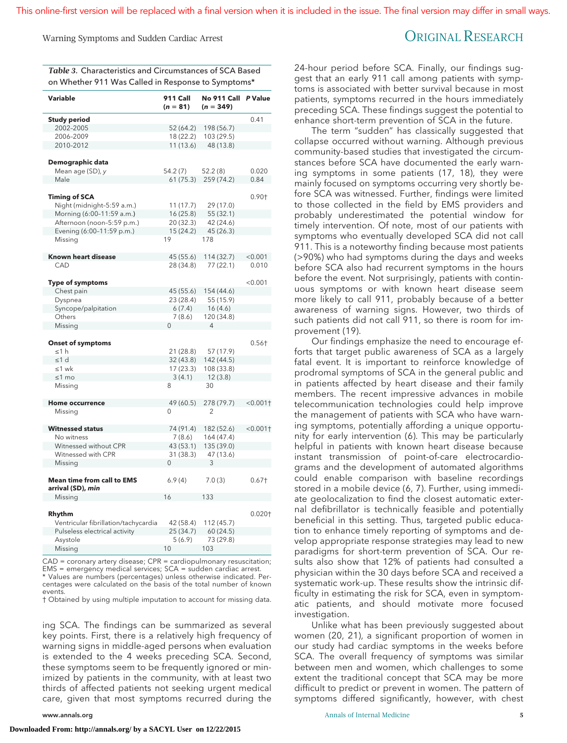Warning Symptoms and Sudden Cardiac Arrest **CORIGINAL RESEARCH** 

*Table 3.* Characteristics and Circumstances of SCA Based on Whether 911 Was Called in Response to Symptoms\*

| Variable                             | <b>911 Call</b><br>$(n = 81)$ | No 911 Call<br>$(n = 349)$ | P Value                |
|--------------------------------------|-------------------------------|----------------------------|------------------------|
| <b>Study period</b>                  |                               |                            | 0.41                   |
| 2002-2005                            | 52 (64.2)                     | 198 (56.7)                 |                        |
| 2006-2009                            | 18 (22.2)                     | 103 (29.5)                 |                        |
| 2010-2012                            | 11 (13.6)                     | 48 (13.8)                  |                        |
|                                      |                               |                            |                        |
| Demographic data                     |                               |                            |                        |
| Mean age (SD), y                     | 54.2(7)                       | 52.2(8)                    | 0.020                  |
| Male                                 | 61(75.3)                      | 259 (74.2)                 | 0.84                   |
|                                      |                               |                            |                        |
| <b>Timing of SCA</b>                 |                               |                            | $0.90 +$               |
| Night (midnight-5:59 a.m.)           | 11(17.7)                      | 29 (17.0)                  |                        |
| Morning (6:00-11:59 a.m.)            | 16(25.8)                      | 55 (32.1)                  |                        |
| Afternoon (noon-5:59 p.m.)           | 20 (32.3)                     | 42 (24.6)                  |                        |
| Evening (6:00-11:59 p.m.)            | 15 (24.2)                     | 45 (26.3)                  |                        |
| Missing                              | 19                            | 178                        |                        |
|                                      |                               |                            |                        |
| <b>Known heart disease</b>           | 45 (55.6)                     | 114 (32.7)                 | < 0.001                |
| CAD                                  | 28 (34.8)                     | 77 (22.1)                  | 0.010                  |
|                                      |                               |                            |                        |
| <b>Type of symptoms</b>              |                               |                            | < 0.001                |
| Chest pain                           | 45 (55.6)                     | 154 (44.6)                 |                        |
| Dyspnea                              | 23 (28.4)                     | 55 (15.9)                  |                        |
| Syncope/palpitation                  | 6(7.4)                        | 16(4.6)                    |                        |
| Others                               | 7(8.6)                        | 120 (34.8)                 |                        |
| Missing                              | $\Omega$                      | $\overline{4}$             |                        |
|                                      |                               |                            |                        |
| <b>Onset of symptoms</b>             |                               |                            | $0.56 +$               |
| $\leq 1 h$                           | 21(28.8)                      | 57 (17.9)                  |                        |
| $\leq 1$ d                           | 32 (43.8)                     | 142 (44.5)                 |                        |
| $\leq 1$ wk                          | 17(23.3)                      | 108 (33.8)                 |                        |
| ≤1 mo                                | 3(4.1)                        | 12(3.8)                    |                        |
| Missing                              | 8                             | 30                         |                        |
|                                      |                               |                            |                        |
| <b>Home occurrence</b>               | 49 (60.5)                     | 278 (79.7)                 | $< 0.001$ †            |
| Missing                              | $\Omega$                      | $\overline{2}$             |                        |
| <b>Witnessed status</b>              |                               |                            |                        |
| No witness                           | 74 (91.4)                     | 182 (52.6)                 | $< 0.001$ <sup>+</sup> |
| Witnessed without CPR                | 7(8.6)                        | 164 (47.4)                 |                        |
|                                      | 43 (53.1)                     | 135 (39.0)                 |                        |
| Witnessed with CPR                   | 31 (38.3)                     | 47 (13.6)                  |                        |
| Missing                              | 0                             | 3                          |                        |
| <b>Mean time from call to EMS</b>    | 6.9(4)                        | 7.0(3)                     | $0.67 +$               |
| arrival (SD), min                    |                               |                            |                        |
| Missing                              | 16                            | 133                        |                        |
|                                      |                               |                            |                        |
| Rhythm                               |                               |                            | $0.020+$               |
| Ventricular fibrillation/tachycardia | 42 (58.4)                     | 112 (45.7)                 |                        |
| Pulseless electrical activity        | 25 (34.7)                     | 60(24.5)                   |                        |
| Asystole                             | 5(6.9)                        | 73 (29.8)                  |                        |
| Missing                              | 10                            | 103                        |                        |
|                                      |                               |                            |                        |

CAD = coronary artery disease; CPR = cardiopulmonary resuscitation; EMS = emergency medical services; SCA = sudden cardiac arrest. \* Values are numbers (percentages) unless otherwise indicated. Percentages were calculated on the basis of the total number of known events.

† Obtained by using multiple imputation to account for missing data.

ing SCA. The findings can be summarized as several key points. First, there is a relatively high frequency of warning signs in middle-aged persons when evaluation is extended to the 4 weeks preceding SCA. Second, these symptoms seem to be frequently ignored or minimized by patients in the community, with at least two thirds of affected patients not seeking urgent medical care, given that most symptoms recurred during the

**Downloaded From: http://annals.org/ by a SACYL User on 12/22/2015**

24-hour period before SCA. Finally, our findings suggest that an early 911 call among patients with symptoms is associated with better survival because in most patients, symptoms recurred in the hours immediately preceding SCA. These findings suggest the potential to enhance short-term prevention of SCA in the future.

The term "sudden" has classically suggested that collapse occurred without warning. Although previous community-based studies that investigated the circumstances before SCA have documented the early warning symptoms in some patients (17, 18), they were mainly focused on symptoms occurring very shortly before SCA was witnessed. Further, findings were limited to those collected in the field by EMS providers and probably underestimated the potential window for timely intervention. Of note, most of our patients with symptoms who eventually developed SCA did not call 911. This is a noteworthy finding because most patients (>90%) who had symptoms during the days and weeks before SCA also had recurrent symptoms in the hours before the event. Not surprisingly, patients with continuous symptoms or with known heart disease seem more likely to call 911, probably because of a better awareness of warning signs. However, two thirds of such patients did not call 911, so there is room for improvement (19).

Our findings emphasize the need to encourage efforts that target public awareness of SCA as a largely fatal event. It is important to reinforce knowledge of prodromal symptoms of SCA in the general public and in patients affected by heart disease and their family members. The recent impressive advances in mobile telecommunication technologies could help improve the management of patients with SCA who have warning symptoms, potentially affording a unique opportunity for early intervention (6). This may be particularly helpful in patients with known heart disease because instant transmission of point-of-care electrocardiograms and the development of automated algorithms could enable comparison with baseline recordings stored in a mobile device (6, 7). Further, using immediate geolocalization to find the closest automatic external defibrillator is technically feasible and potentially beneficial in this setting. Thus, targeted public education to enhance timely reporting of symptoms and develop appropriate response strategies may lead to new paradigms for short-term prevention of SCA. Our results also show that 12% of patients had consulted a physician within the 30 days before SCA and received a systematic work-up. These results show the intrinsic difficulty in estimating the risk for SCA, even in symptomatic patients, and should motivate more focused investigation.

Unlike what has been previously suggested about women (20, 21), a significant proportion of women in our study had cardiac symptoms in the weeks before SCA. The overall frequency of symptoms was similar between men and women, which challenges to some extent the traditional concept that SCA may be more difficult to predict or prevent in women. The pattern of symptoms differed significantly, however, with chest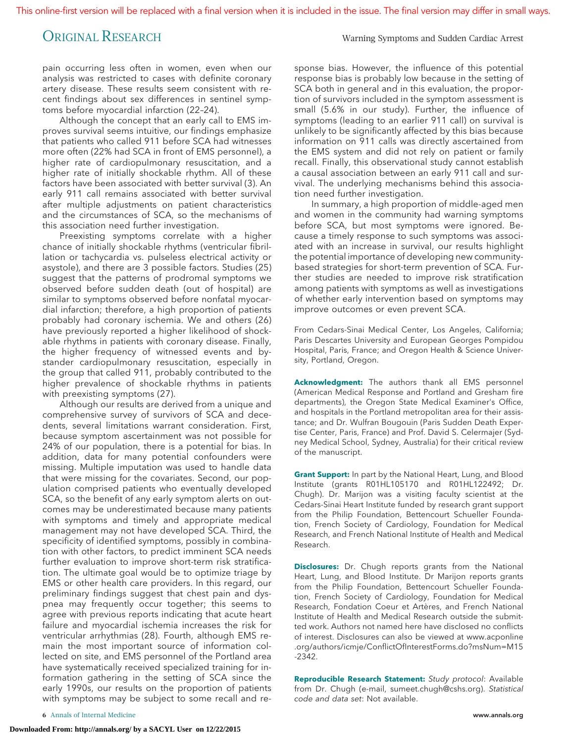ORIGINAL RESEARCH Warning Symptoms and Sudden Cardiac Arrest

pain occurring less often in women, even when our analysis was restricted to cases with definite coronary artery disease. These results seem consistent with recent findings about sex differences in sentinel symptoms before myocardial infarction (22–24).

Although the concept that an early call to EMS improves survival seems intuitive, our findings emphasize that patients who called 911 before SCA had witnesses more often (22% had SCA in front of EMS personnel), a higher rate of cardiopulmonary resuscitation, and a higher rate of initially shockable rhythm. All of these factors have been associated with better survival (3). An early 911 call remains associated with better survival after multiple adjustments on patient characteristics and the circumstances of SCA, so the mechanisms of this association need further investigation.

Preexisting symptoms correlate with a higher chance of initially shockable rhythms (ventricular fibrillation or tachycardia vs. pulseless electrical activity or asystole), and there are 3 possible factors. Studies (25) suggest that the patterns of prodromal symptoms we observed before sudden death (out of hospital) are similar to symptoms observed before nonfatal myocardial infarction; therefore, a high proportion of patients probably had coronary ischemia. We and others (26) have previously reported a higher likelihood of shockable rhythms in patients with coronary disease. Finally, the higher frequency of witnessed events and bystander cardiopulmonary resuscitation, especially in the group that called 911, probably contributed to the higher prevalence of shockable rhythms in patients with preexisting symptoms (27).

Although our results are derived from a unique and comprehensive survey of survivors of SCA and decedents, several limitations warrant consideration. First, because symptom ascertainment was not possible for 24% of our population, there is a potential for bias. In addition, data for many potential confounders were missing. Multiple imputation was used to handle data that were missing for the covariates. Second, our population comprised patients who eventually developed SCA, so the benefit of any early symptom alerts on outcomes may be underestimated because many patients with symptoms and timely and appropriate medical management may not have developed SCA. Third, the specificity of identified symptoms, possibly in combination with other factors, to predict imminent SCA needs further evaluation to improve short-term risk stratification. The ultimate goal would be to optimize triage by EMS or other health care providers. In this regard, our preliminary findings suggest that chest pain and dyspnea may frequently occur together; this seems to agree with previous reports indicating that acute heart failure and myocardial ischemia increases the risk for ventricular arrhythmias (28). Fourth, although EMS remain the most important source of information collected on site, and EMS personnel of the Portland area have systematically received specialized training for information gathering in the setting of SCA since the early 1990s, our results on the proportion of patients with symptoms may be subject to some recall and re-

sponse bias. However, the influence of this potential response bias is probably low because in the setting of SCA both in general and in this evaluation, the proportion of survivors included in the symptom assessment is small (5.6% in our study). Further, the influence of symptoms (leading to an earlier 911 call) on survival is unlikely to be significantly affected by this bias because information on 911 calls was directly ascertained from the EMS system and did not rely on patient or family recall. Finally, this observational study cannot establish a causal association between an early 911 call and survival. The underlying mechanisms behind this association need further investigation.

In summary, a high proportion of middle-aged men and women in the community had warning symptoms before SCA, but most symptoms were ignored. Because a timely response to such symptoms was associated with an increase in survival, our results highlight the potential importance of developing new communitybased strategies for short-term prevention of SCA. Further studies are needed to improve risk stratification among patients with symptoms as well as investigations of whether early intervention based on symptoms may improve outcomes or even prevent SCA.

From Cedars-Sinai Medical Center, Los Angeles, California; Paris Descartes University and European Georges Pompidou Hospital, Paris, France; and Oregon Health & Science University, Portland, Oregon.

**Acknowledgment:** The authors thank all EMS personnel (American Medical Response and Portland and Gresham fire departments), the Oregon State Medical Examiner's Office, and hospitals in the Portland metropolitan area for their assistance; and Dr. Wulfran Bougouin (Paris Sudden Death Expertise Center, Paris, France) and Prof. David S. Celermajer (Sydney Medical School, Sydney, Australia) for their critical review of the manuscript.

**Grant Support:** In part by the National Heart, Lung, and Blood Institute (grants R01HL105170 and R01HL122492; Dr. Chugh). Dr. Marijon was a visiting faculty scientist at the Cedars-Sinai Heart Institute funded by research grant support from the Philip Foundation, Bettencourt Schueller Foundation, French Society of Cardiology, Foundation for Medical Research, and French National Institute of Health and Medical Research.

**Disclosures:** Dr. Chugh reports grants from the National Heart, Lung, and Blood Institute. Dr Marijon reports grants from the Philip Foundation, Bettencourt Schueller Foundation, French Society of Cardiology, Foundation for Medical Research, Fondation Coeur et Artères, and French National Institute of Health and Medical Research outside the submitted work. Authors not named here have disclosed no conflicts of interest. Disclosures can also be viewed at [www.acponline](http://www.acponline.org/authors/icmje/ConflictOfInterestForms.do?msNum=M15-2342) [.org/authors/icmje/ConflictOfInterestForms.do?msNum=M15](http://www.acponline.org/authors/icmje/ConflictOfInterestForms.do?msNum=M15-2342) [-2342.](http://www.acponline.org/authors/icmje/ConflictOfInterestForms.do?msNum=M15-2342)

**Reproducible Research Statement:** Study protocol: Available from Dr. Chugh (e-mail, [sumeet.chugh@cshs.org\)](mailto:sumeet.chugh@cshs.org). Statistical code and data set: Not available.

**Downloaded From: http://annals.org/ by a SACYL User on 12/22/2015**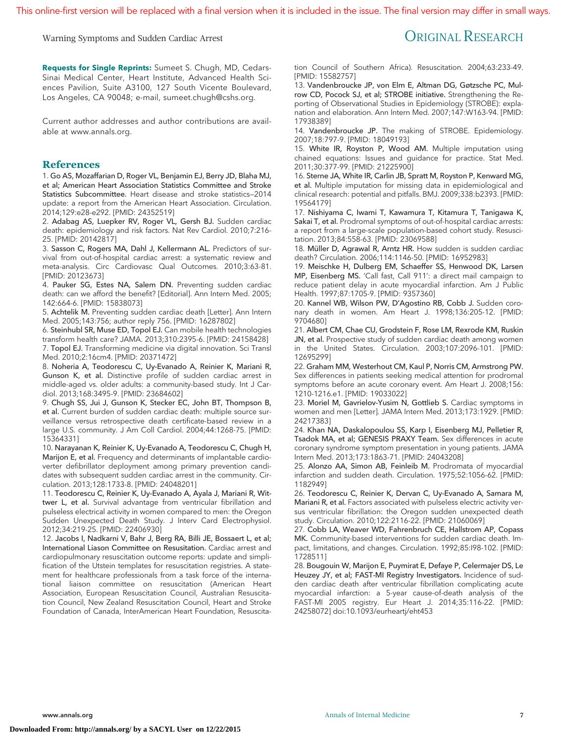Warning Symptoms and Sudden Cardiac Arrest **ORIGINAL RESEARCH** 

**Requests for Single Reprints:** Sumeet S. Chugh, MD, Cedars-Sinai Medical Center, Heart Institute, Advanced Health Sciences Pavilion, Suite A3100, 127 South Vicente Boulevard, Los Angeles, CA 90048; e-mail, [sumeet.chugh@cshs.org.](mailto:sumeet.chugh@cshs.org)

Current author addresses and author contributions are available at [www.annals.org.](http://www.annals.org)

### **References**

1. Go AS, Mozaffarian D, Roger VL, Benjamin EJ, Berry JD, Blaha MJ, et al; American Heart Association Statistics Committee and Stroke Statistics Subcommittee. Heart disease and stroke statistics—2014 update: a report from the American Heart Association. Circulation. 2014;129:e28-e292. [PMID: 24352519]

2. Adabag AS, Luepker RV, Roger VL, Gersh BJ. Sudden cardiac death: epidemiology and risk factors. Nat Rev Cardiol. 2010;7:216- 25. [PMID: 20142817]

3. Sasson C, Rogers MA, Dahl J, Kellermann AL. Predictors of survival from out-of-hospital cardiac arrest: a systematic review and meta-analysis. Circ Cardiovasc Qual Outcomes. 2010;3:63-81. [PMID: 20123673]

4. Pauker SG, Estes NA, Salem DN. Preventing sudden cardiac death: can we afford the benefit? [Editorial]. Ann Intern Med. 2005; 142:664-6. [PMID: 15838073]

5. Achtelik M. Preventing sudden cardiac death [Letter]. Ann Intern Med. 2005;143:756; author reply 756. [PMID: 16287802]

6. Steinhubl SR, Muse ED, Topol EJ. Can mobile health technologies transform health care? JAMA. 2013;310:2395-6. [PMID: 24158428] 7. Topol EJ. Transforming medicine via digital innovation. Sci Transl Med. 2010;2:16cm4. [PMID: 20371472]

8. Noheria A, Teodorescu C, Uy-Evanado A, Reinier K, Mariani R, Gunson K, et al. Distinctive profile of sudden cardiac arrest in middle-aged vs. older adults: a community-based study. Int J Cardiol. 2013;168:3495-9. [PMID: 23684602]

9. Chugh SS, Jui J, Gunson K, Stecker EC, John BT, Thompson B, et al. Current burden of sudden cardiac death: multiple source surveillance versus retrospective death certificate-based review in a large U.S. community. J Am Coll Cardiol. 2004;44:1268-75. [PMID: 15364331]

10. Narayanan K, Reinier K, Uy-Evanado A, Teodorescu C, Chugh H, Marijon E, et al. Frequency and determinants of implantable cardioverter defibrillator deployment among primary prevention candidates with subsequent sudden cardiac arrest in the community. Circulation. 2013;128:1733-8. [PMID: 24048201]

11. Teodorescu C, Reinier K, Uy-Evanado A, Ayala J, Mariani R, Wittwer L, et al. Survival advantage from ventricular fibrillation and pulseless electrical activity in women compared to men: the Oregon Sudden Unexpected Death Study. J Interv Card Electrophysiol. 2012;34:219-25. [PMID: 22406930]

12. Jacobs I, Nadkarni V, Bahr J, Berg RA, Billi JE, Bossaert L, et al; International Liason Committee on Resusitation. Cardiac arrest and cardiopulmonary resuscitation outcome reports: update and simplification of the Utstein templates for resuscitation registries. A statement for healthcare professionals from a task force of the international liaison committee on resuscitation (American Heart Association, European Resuscitation Council, Australian Resuscitation Council, New Zealand Resuscitation Council, Heart and Stroke Foundation of Canada, InterAmerican Heart Foundation, Resuscitation Council of Southern Africa). Resuscitation. 2004;63:233-49. [PMID: 15582757]

13. Vandenbroucke JP, von Elm E, Altman DG, Gøtzsche PC, Mulrow CD, Pocock SJ, et al; STROBE initiative. Strengthening the Reporting of Observational Studies in Epidemiology (STROBE): explanation and elaboration. Ann Intern Med. 2007;147:W163-94. [PMID: 17938389]

14. Vandenbroucke JP. The making of STROBE. Epidemiology. 2007;18:797-9. [PMID: 18049193]

15. White IR, Royston P, Wood AM. Multiple imputation using chained equations: Issues and guidance for practice. Stat Med. 2011;30:377-99. [PMID: 21225900]

16. Sterne JA, White IR, Carlin JB, Spratt M, Royston P, Kenward MG, et al. Multiple imputation for missing data in epidemiological and clinical research: potential and pitfalls. BMJ. 2009;338:b2393. [PMID: 19564179]

17. Nishiyama C, Iwami T, Kawamura T, Kitamura T, Tanigawa K, Sakai T, et al. Prodromal symptoms of out-of-hospital cardiac arrests: a report from a large-scale population-based cohort study. Resuscitation. 2013;84:558-63. [PMID: 23069588]

18. Müller D, Agrawal R, Arntz HR. How sudden is sudden cardiac death? Circulation. 2006;114:1146-50. [PMID: 16952983]

19. Meischke H, Dulberg EM, Schaeffer SS, Henwood DK, Larsen MP, Eisenberg MS. 'Call fast, Call 911': a direct mail campaign to reduce patient delay in acute myocardial infarction. Am J Public Health. 1997;87:1705-9. [PMID: 9357360]

20. Kannel WB, Wilson PW, D'Agostino RB, Cobb J. Sudden coronary death in women. Am Heart J. 1998;136:205-12. [PMID: 9704680]

21. Albert CM, Chae CU, Grodstein F, Rose LM, Rexrode KM, Ruskin JN, et al. Prospective study of sudden cardiac death among women in the United States. Circulation. 2003;107:2096-101. [PMID: 12695299]

22. Graham MM, Westerhout CM, Kaul P, Norris CM, Armstrong PW. Sex differences in patients seeking medical attention for prodromal symptoms before an acute coronary event. Am Heart J. 2008;156: 1210-1216.e1. [PMID: 19033022]

23. Moriel M, Gavrielov-Yusim N, Gottlieb S. Cardiac symptoms in women and men [Letter]. JAMA Intern Med. 2013;173:1929. [PMID: 24217383]

24. Khan NA, Daskalopoulou SS, Karp I, Eisenberg MJ, Pelletier R, Tsadok MA, et al; GENESIS PRAXY Team. Sex differences in acute coronary syndrome symptom presentation in young patients. JAMA Intern Med. 2013;173:1863-71. [PMID: 24043208]

25. Alonzo AA, Simon AB, Feinleib M. Prodromata of myocardial infarction and sudden death. Circulation. 1975;52:1056-62. [PMID: 1182949]

26. Teodorescu C, Reinier K, Dervan C, Uy-Evanado A, Samara M, Mariani R, et al. Factors associated with pulseless electric activity versus ventricular fibrillation: the Oregon sudden unexpected death study. Circulation. 2010;122:2116-22. [PMID: 21060069]

27. Cobb LA, Weaver WD, Fahrenbruch CE, Hallstrom AP, Copass MK. Community-based interventions for sudden cardiac death. Impact, limitations, and changes. Circulation. 1992;85:I98-102. [PMID: 1728511]

28. Bougouin W, Marijon E, Puymirat E, Defaye P, Celermajer DS, Le Heuzey JY, et al; FAST-MI Registry Investigators. Incidence of sudden cardiac death after ventricular fibrillation complicating acute myocardial infarction: a 5-year cause-of-death analysis of the FAST-MI 2005 registry. Eur Heart J. 2014;35:116-22. [PMID: 24258072] doi:10.1093/eurheartj/eht453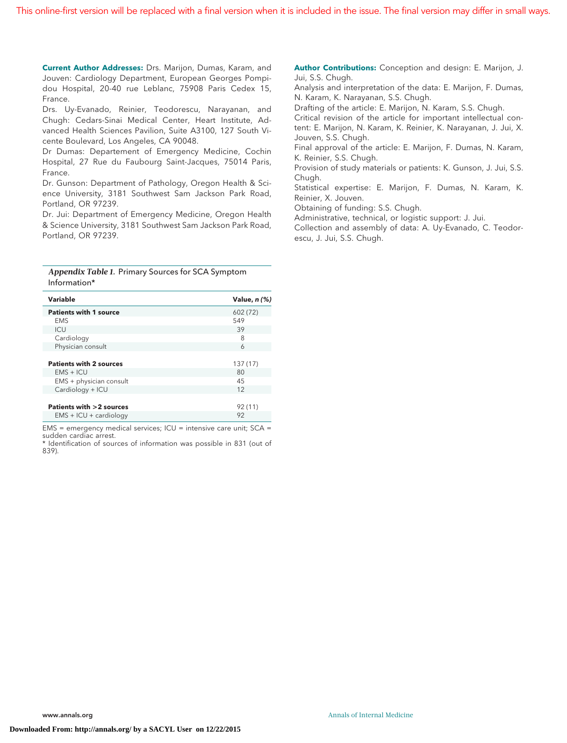**Current Author Addresses:** Drs. Marijon, Dumas, Karam, and Jouven: Cardiology Department, European Georges Pompidou Hospital, 20-40 rue Leblanc, 75908 Paris Cedex 15, France.

Drs. Uy-Evanado, Reinier, Teodorescu, Narayanan, and Chugh: Cedars-Sinai Medical Center, Heart Institute, Advanced Health Sciences Pavilion, Suite A3100, 127 South Vicente Boulevard, Los Angeles, CA 90048.

Dr Dumas: Departement of Emergency Medicine, Cochin Hospital, 27 Rue du Faubourg Saint-Jacques, 75014 Paris, France.

Dr. Gunson: Department of Pathology, Oregon Health & Science University, 3181 Southwest Sam Jackson Park Road, Portland, OR 97239.

Dr. Jui: Department of Emergency Medicine, Oregon Health & Science University, 3181 Southwest Sam Jackson Park Road, Portland, OR 97239.

*Appendix Table 1.* Primary Sources for SCA Symptom Information\*

| Value, $n$ $(\%)$ |
|-------------------|
| 602 (72)          |
| 549               |
| 39                |
| 8                 |
| 6                 |
|                   |
| 137 (17)          |
| 80                |
| 45                |
| 12                |
|                   |
| 92 (11)           |
| 92                |
|                   |

EMS = emergency medical services; ICU = intensive care unit; SCA = sudden cardiac arrest.

\* Identification of sources of information was possible in 831 (out of 839).

**Author Contributions:** Conception and design: E. Marijon, J. Jui, S.S. Chugh.

Analysis and interpretation of the data: E. Marijon, F. Dumas, N. Karam, K. Narayanan, S.S. Chugh.

Drafting of the article: E. Marijon, N. Karam, S.S. Chugh.

Critical revision of the article for important intellectual content: E. Marijon, N. Karam, K. Reinier, K. Narayanan, J. Jui, X. Jouven, S.S. Chugh.

Final approval of the article: E. Marijon, F. Dumas, N. Karam, K. Reinier, S.S. Chugh.

Provision of study materials or patients: K. Gunson, J. Jui, S.S. Chugh.

Statistical expertise: E. Marijon, F. Dumas, N. Karam, K. Reinier, X. Jouven.

Obtaining of funding: S.S. Chugh.

Administrative, technical, or logistic support: J. Jui.

Collection and assembly of data: A. Uy-Evanado, C. Teodorescu, J. Jui, S.S. Chugh.